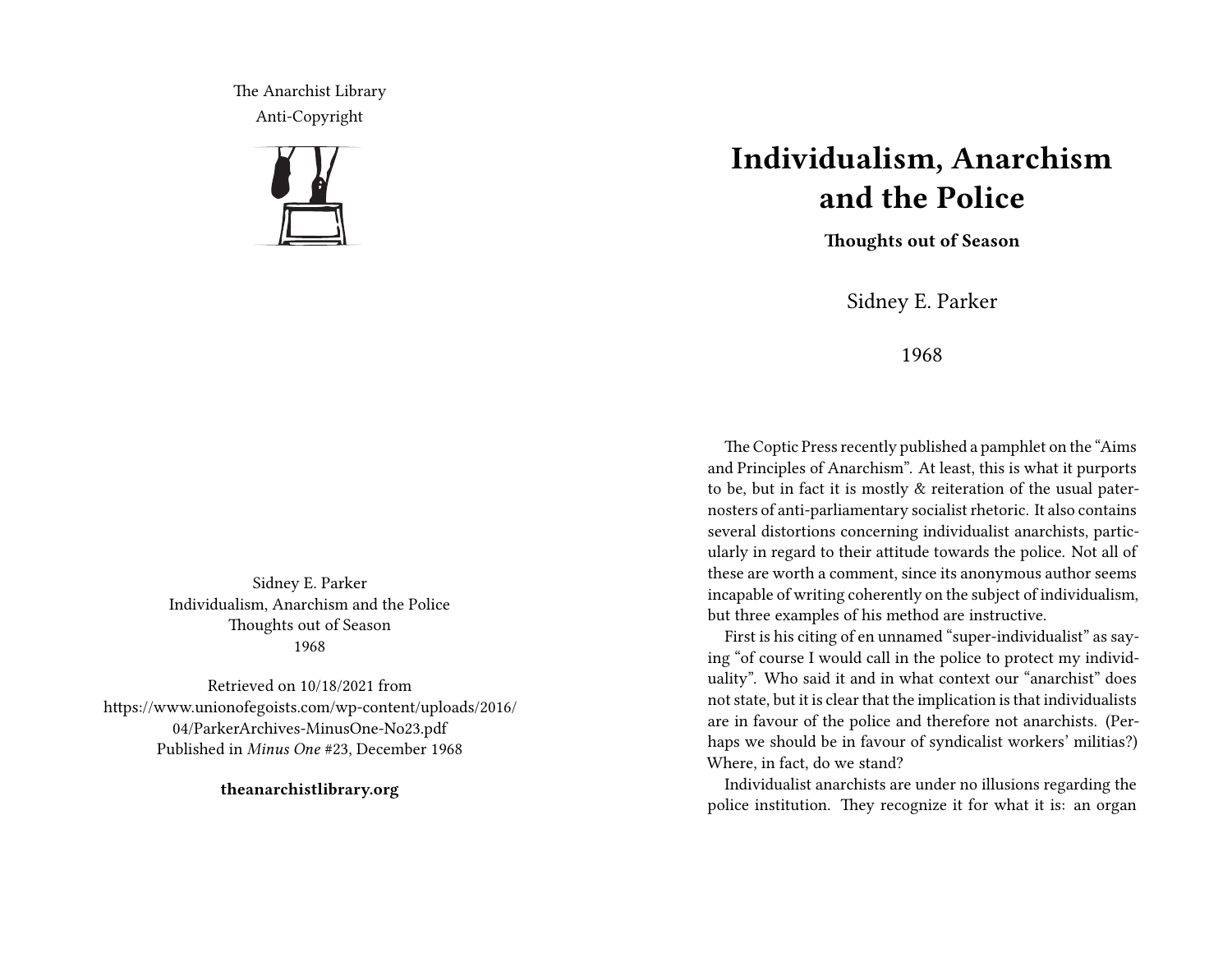The Anarchist Library Anti-Copyright



Sidney E. Parker Individualism, Anarchism and the Police Thoughts out of Season 1968

Retrieved on 10/18/2021 from https://www.unionofegoists.com/wp-content/uploads/2016/ 04/ParkerArchives-MinusOne-No23.pdf Published in *Minus One* #23, December 1968

**theanarchistlibrary.org**

## **Individualism, Anarchism and the Police**

**Thoughts out of Season**

Sidney E. Parker

1968

The Coptic Press recently published a pamphlet on the "Aims and Principles of Anarchism". At least, this is what it purports to be, but in fact it is mostly & reiteration of the usual paternosters of anti-parliamentary socialist rhetoric. It also contains several distortions concerning individualist anarchists, particularly in regard to their attitude towards the police. Not all of these are worth a comment, since its anonymous author seems incapable of writing coherently on the subject of individualism, but three examples of his method are instructive.

First is his citing of en unnamed "super-individualist" as saying "of course I would call in the police to protect my individuality". Who said it and in what context our "anarchist" does not state, but it is clear that the implication is that individualists are in favour of the police and therefore not anarchists. (Perhaps we should be in favour of syndicalist workers' militias?) Where, in fact, do we stand?

Individualist anarchists are under no illusions regarding the police institution. They recognize it for what it is: an organ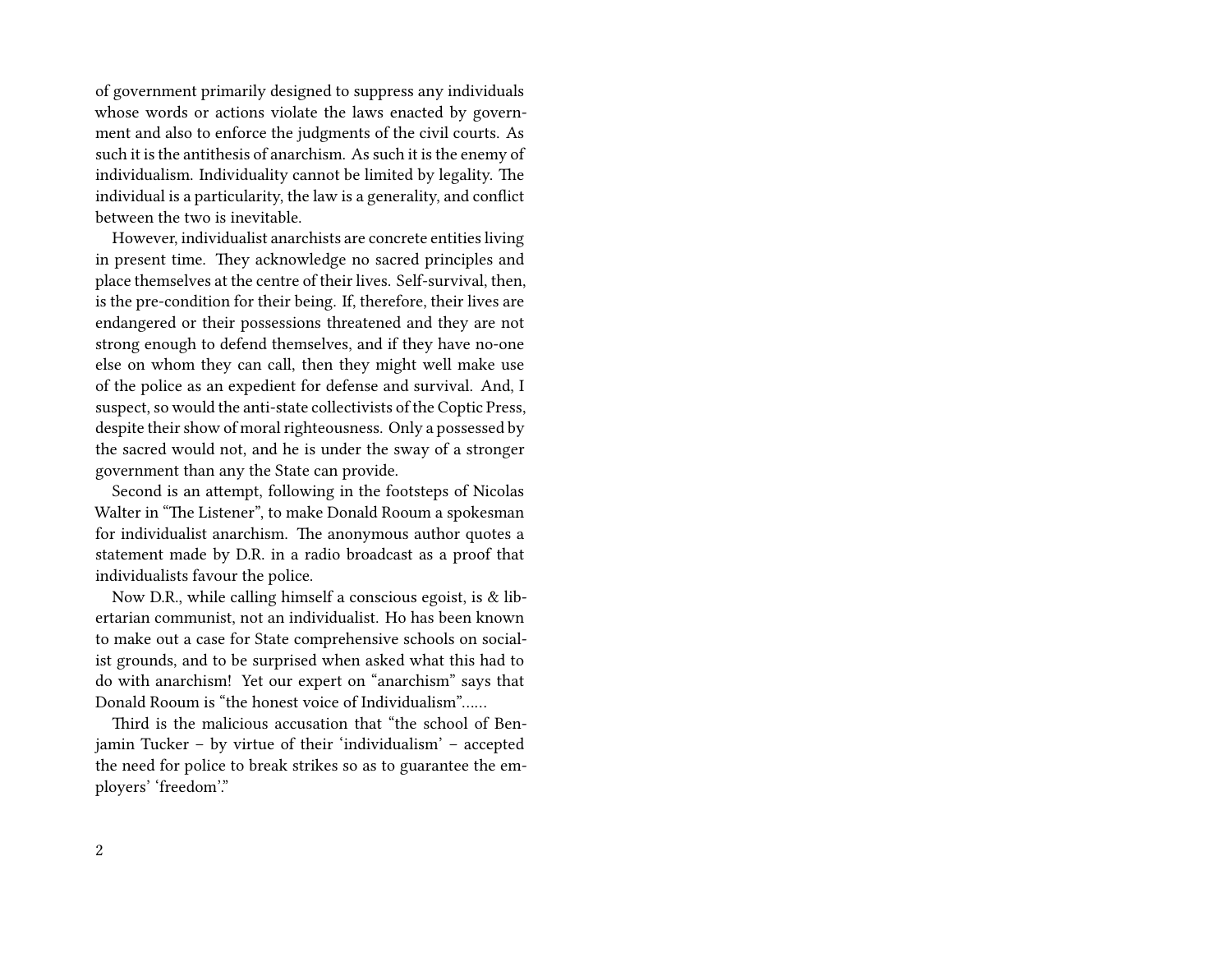of government primarily designed to suppress any individuals whose words or actions violate the laws enacted by government and also to enforce the judgments of the civil courts. As such it is the antithesis of anarchism. As such it is the enemy of individualism. Individuality cannot be limited by legality. The individual is a particularity, the law is a generality, and conflict between the two is inevitable.

However, individualist anarchists are concrete entities living in present time. They acknowledge no sacred principles and place themselves at the centre of their lives. Self-survival, then, is the pre-condition for their being. If, therefore, their lives are endangered or their possessions threatened and they are not strong enough to defend themselves, and if they have no-one else on whom they can call, then they might well make use of the police as an expedient for defense and survival. And, I suspect, so would the anti-state collectivists of the Coptic Press, despite their show of moral righteousness. Only a possessed by the sacred would not, and he is under the sway of a stronger government than any the State can provide.

Second is an attempt, following in the footsteps of Nicolas Walter in "The Listener", to make Donald Rooum a spokesman for individualist anarchism. The anonymous author quotes a statement made by D.R. in a radio broadcast as a proof that individualists favour the police.

Now D.R., while calling himself a conscious egoist, is & libertarian communist, not an individualist. Ho has been known to make out a case for State comprehensive schools on socialist grounds, and to be surprised when asked what this had to do with anarchism! Yet our expert on "anarchism" says that Donald Rooum is "the honest voice of Individualism"……

Third is the malicious accusation that "the school of Benjamin Tucker – by virtue of their 'individualism' – accepted the need for police to break strikes so as to guarantee the employers' 'freedom'."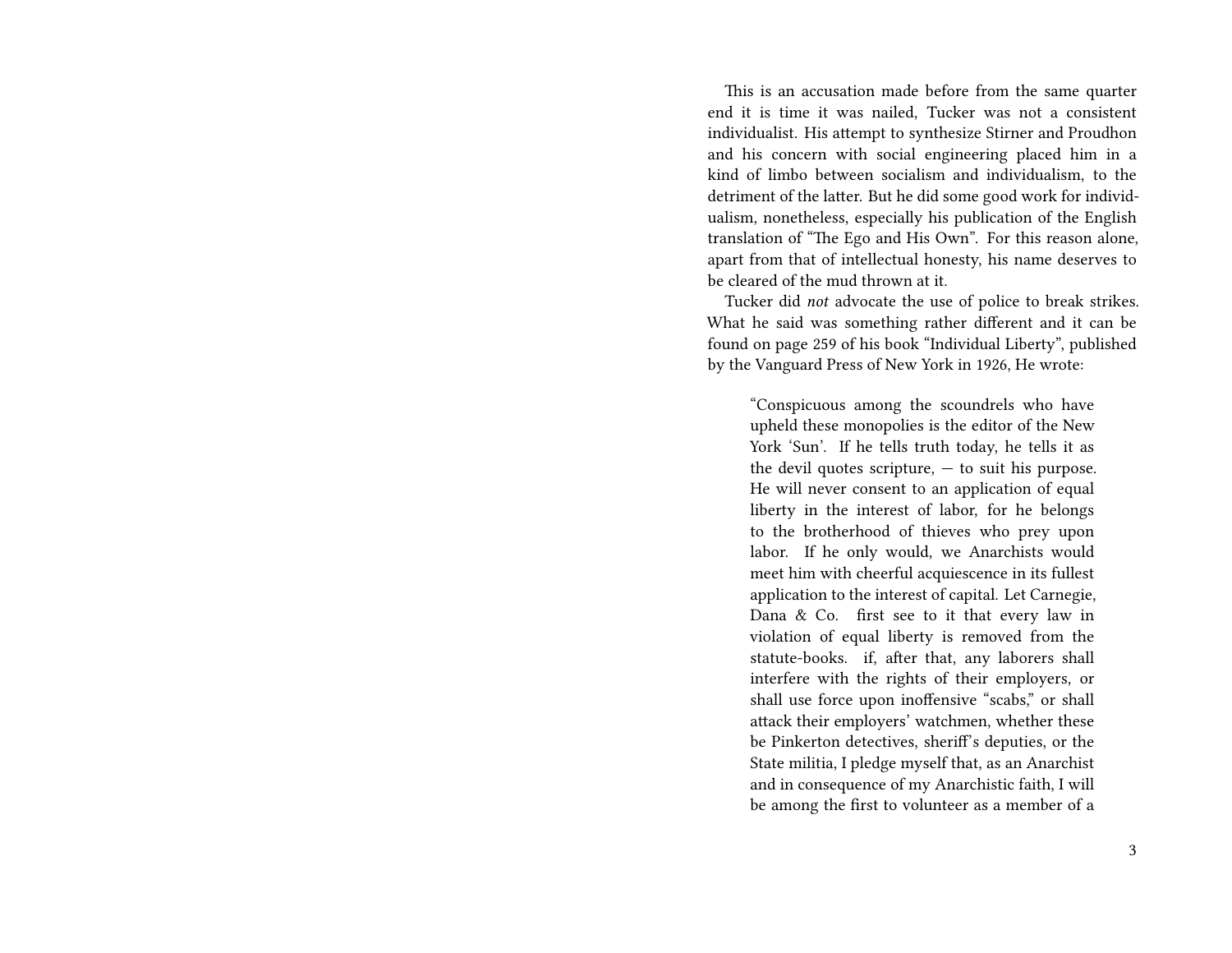This is an accusation made before from the same quarter end it is time it was nailed, Tucker was not a consistent individualist. His attempt to synthesize Stirner and Proudhon and his concern with social engineering placed him in a kind of limbo between socialism and individualism, to the detriment of the latter. But he did some good work for individualism, nonetheless, especially his publication of the English translation of "The Ego and His Own". For this reason alone, apart from that of intellectual honesty, his name deserves to be cleared of the mud thrown at it.

Tucker did *not* advocate the use of police to break strikes. What he said was something rather different and it can be found on page 259 of his book "Individual Liberty", published by the Vanguard Press of New York in 1926, He wrote:

"Conspicuous among the scoundrels who have upheld these monopolies is the editor of the New York 'Sun'. If he tells truth today, he tells it as the devil quotes scripture,  $-$  to suit his purpose. He will never consent to an application of equal liberty in the interest of labor, for he belongs to the brotherhood of thieves who prey upon labor. If he only would, we Anarchists would meet him with cheerful acquiescence in its fullest application to the interest of capital. Let Carnegie, Dana & Co. first see to it that every law in violation of equal liberty is removed from the statute-books. if, after that, any laborers shall interfere with the rights of their employers, or shall use force upon inoffensive "scabs," or shall attack their employers' watchmen, whether these be Pinkerton detectives, sherif's deputies, or the State militia, I pledge myself that, as an Anarchist and in consequence of my Anarchistic faith, I will be among the first to volunteer as a member of a